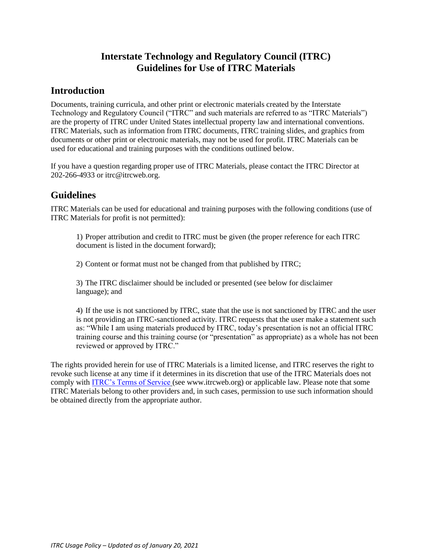## **Interstate Technology and Regulatory Council (ITRC) Guidelines for Use of ITRC Materials**

## **Introduction**

Documents, training curricula, and other print or electronic materials created by the Interstate Technology and Regulatory Council ("ITRC" and such materials are referred to as "ITRC Materials") are the property of ITRC under United States intellectual property law and international conventions. ITRC Materials, such as information from ITRC documents, ITRC training slides, and graphics from documents or other print or electronic materials, may not be used for profit. ITRC Materials can be used for educational and training purposes with the conditions outlined below.

If you have a question regarding proper use of ITRC Materials, please contact the ITRC Director at 202-266-4933 or itrc@itrcweb.org.

## **Guidelines**

ITRC Materials can be used for educational and training purposes with the following conditions (use of ITRC Materials for profit is not permitted):

1) Proper attribution and credit to ITRC must be given (the proper reference for each ITRC document is listed in the document forward);

2) Content or format must not be changed from that published by ITRC;

3) The ITRC disclaimer should be included or presented (see below for disclaimer language); and

4) If the use is not sanctioned by ITRC, state that the use is not sanctioned by ITRC and the user is not providing an ITRC-sanctioned activity. ITRC requests that the user make a statement such as: "While I am using materials produced by ITRC, today's presentation is not an official ITRC training course and this training course (or "presentation" as appropriate) as a whole has not been reviewed or approved by ITRC."

The rights provided herein for use of ITRC Materials is a limited license, and ITRC reserves the right to revoke such license at any time if it determines in its discretion that use of the ITRC Materials does not comply with [ITRC's Terms of Service](http://www.itrcweb.org/Documents/Policy/ITRC-Website-Terms-of-Service-Final-11-5-12.pdf) (see www.itrcweb.org) or applicable law. Please note that some ITRC Materials belong to other providers and, in such cases, permission to use such information should be obtained directly from the appropriate author.